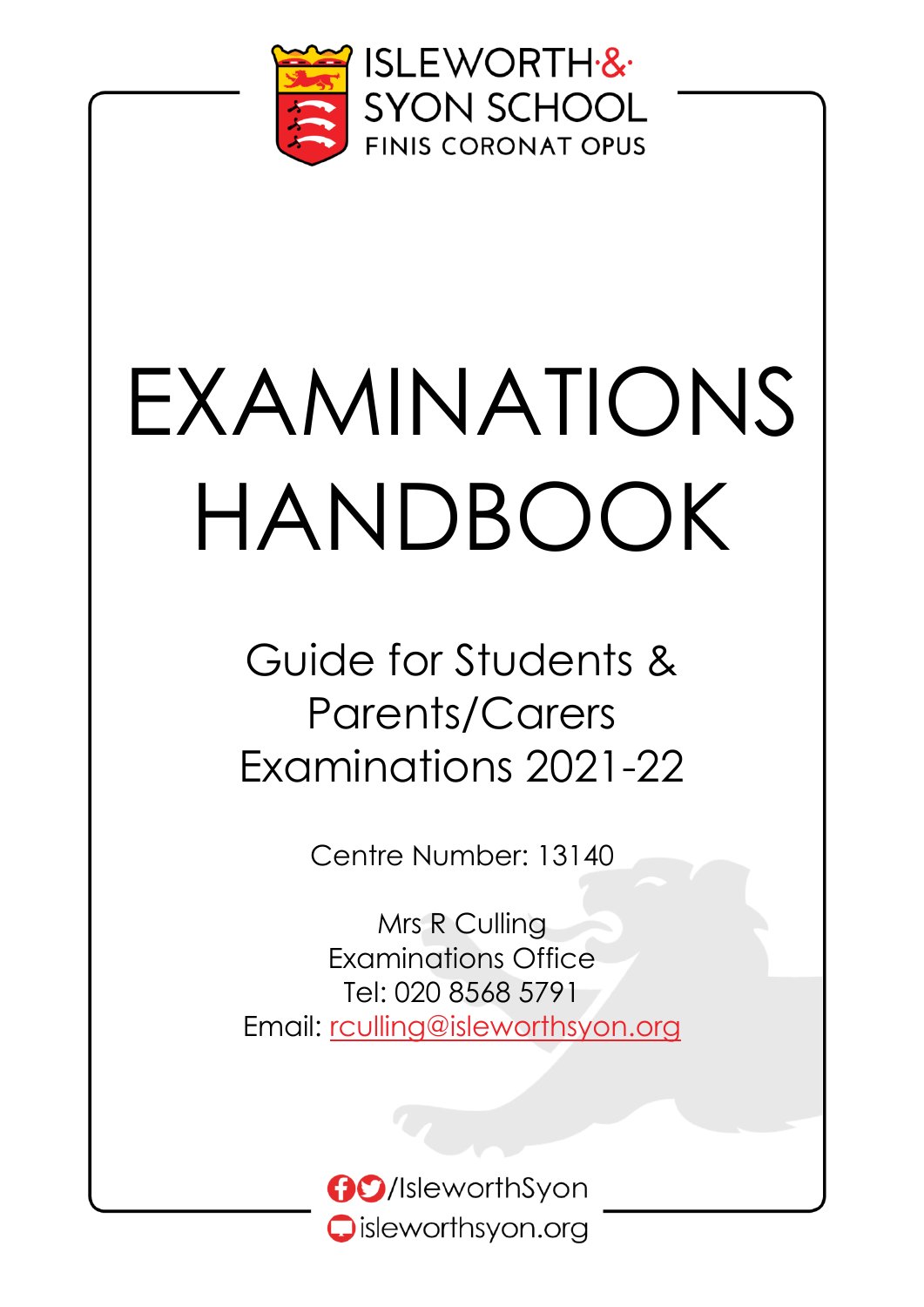

# EXAMINATIONS HANDBOOK

Guide for Students & Parents/Carers Examinations 2021-22

Centre Number: 13140

Mrs R Culling Examinations Office Tel: 020 8568 5791 Email: [rculling@isleworthsyon.org](mailto:rculling@isleworthsyon.org)

> **GO**/IsleworthSyon Oisleworthsyon.org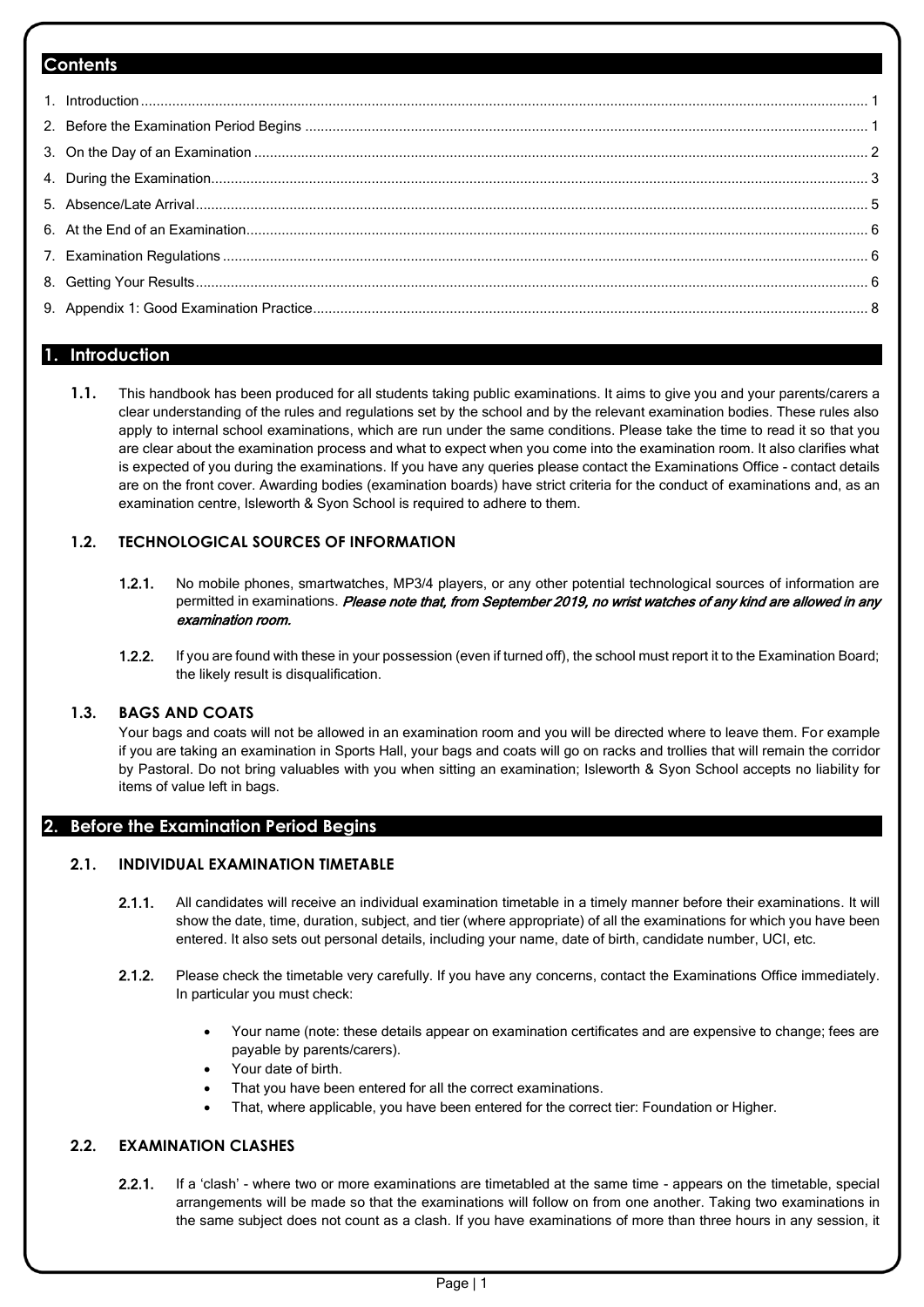#### **Contents**

#### <span id="page-1-0"></span>**1. Introduction**

**1.1.** This handbook has been produced for all students taking public examinations. It aims to give you and your parents/carers a clear understanding of the rules and regulations set by the school and by the relevant examination bodies. These rules also apply to internal school examinations, which are run under the same conditions. Please take the time to read it so that you are clear about the examination process and what to expect when you come into the examination room. It also clarifies what is expected of you during the examinations. If you have any queries please contact the Examinations Office - contact details are on the front cover. Awarding bodies (examination boards) have strict criteria for the conduct of examinations and, as an examination centre, Isleworth & Syon School is required to adhere to them.

#### **1.2. TECHNOLOGICAL SOURCES OF INFORMATION**

- 1.2.1. No mobile phones, smartwatches, MP3/4 players, or any other potential technological sources of information are permitted in examinations. Please note that, from September 2019, no wrist watches of any kind are allowed in any examination room.
- 1.2.2. If you are found with these in your possession (even if turned off), the school must report it to the Examination Board; the likely result is disqualification.

#### **1.3. BAGS AND COATS**

Your bags and coats will not be allowed in an examination room and you will be directed where to leave them. For example if you are taking an examination in Sports Hall, your bags and coats will go on racks and trollies that will remain the corridor by Pastoral. Do not bring valuables with you when sitting an examination; Isleworth & Syon School accepts no liability for items of value left in bags.

#### <span id="page-1-1"></span>**2. Before the Examination Period Begins**

#### **2.1. INDIVIDUAL EXAMINATION TIMETABLE**

- 2.1.1. All candidates will receive an individual examination timetable in a timely manner before their examinations. It will show the date, time, duration, subject, and tier (where appropriate) of all the examinations for which you have been entered. It also sets out personal details, including your name, date of birth, candidate number, UCI, etc.
- 2.1.2. Please check the timetable very carefully. If you have any concerns, contact the Examinations Office immediately. In particular you must check:
	- Your name (note: these details appear on examination certificates and are expensive to change; fees are payable by parents/carers).
	- Your date of birth.
	- That you have been entered for all the correct examinations.
	- That, where applicable, you have been entered for the correct tier: Foundation or Higher.

#### **2.2. EXAMINATION CLASHES**

2.2.1. If a 'clash' - where two or more examinations are timetabled at the same time - appears on the timetable, special arrangements will be made so that the examinations will follow on from one another. Taking two examinations in the same subject does not count as a clash. If you have examinations of more than three hours in any session, it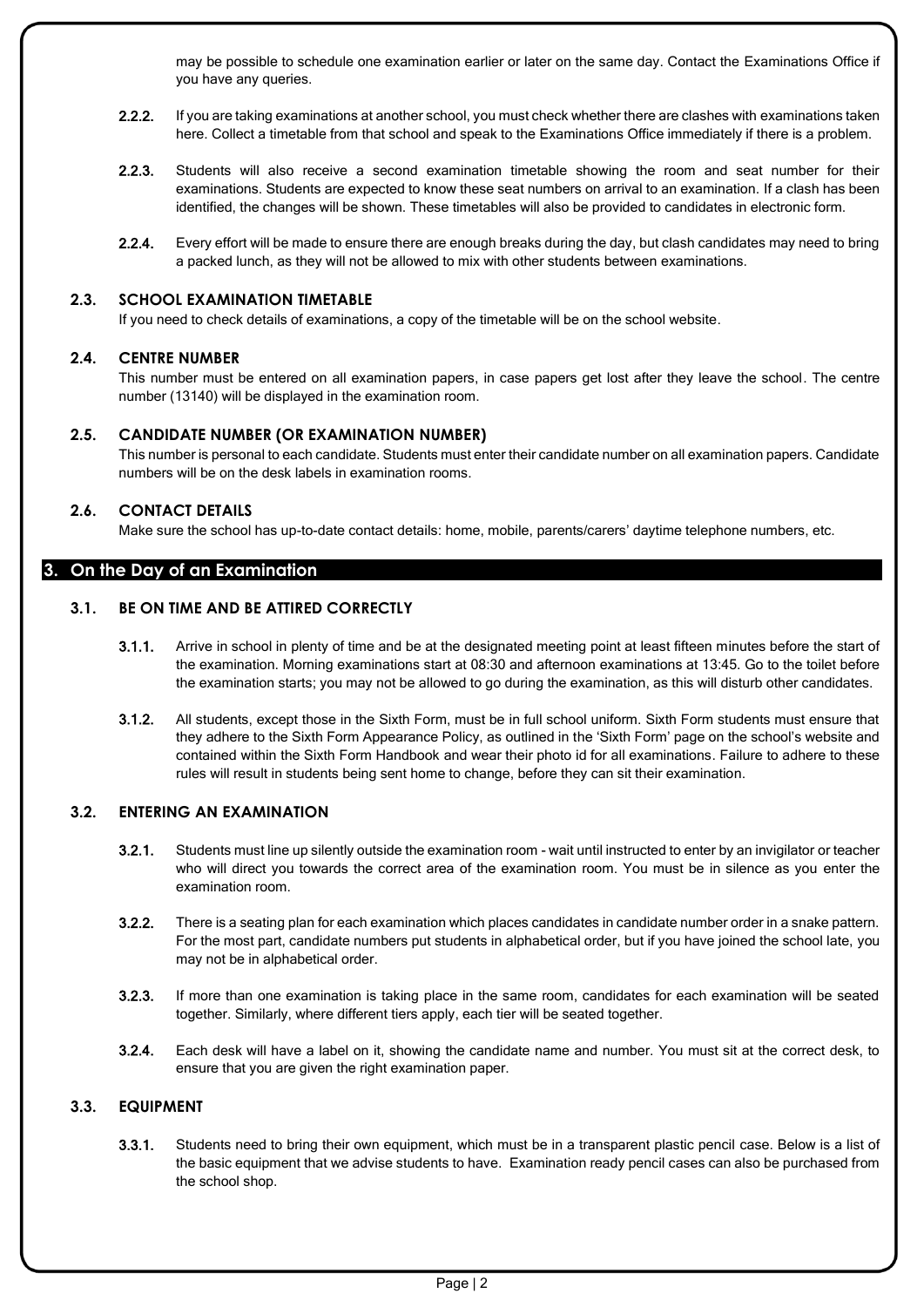may be possible to schedule one examination earlier or later on the same day. Contact the Examinations Office if you have any queries.

- 2.2.2. If you are taking examinations at another school, you must check whether there are clashes with examinations taken here. Collect a timetable from that school and speak to the Examinations Office immediately if there is a problem.
- 2.2.3. Students will also receive a second examination timetable showing the room and seat number for their examinations. Students are expected to know these seat numbers on arrival to an examination. If a clash has been identified, the changes will be shown. These timetables will also be provided to candidates in electronic form.
- 2.2.4. Every effort will be made to ensure there are enough breaks during the day, but clash candidates may need to bring a packed lunch, as they will not be allowed to mix with other students between examinations.

#### **2.3. SCHOOL EXAMINATION TIMETABLE**

If you need to check details of examinations, a copy of the timetable will be on the school website.

#### **2.4. CENTRE NUMBER**

This number must be entered on all examination papers, in case papers get lost after they leave the school. The centre number (13140) will be displayed in the examination room.

#### **2.5. CANDIDATE NUMBER (OR EXAMINATION NUMBER)**

This number is personal to each candidate. Students must enter their candidate number on all examination papers. Candidate numbers will be on the desk labels in examination rooms.

#### **2.6. CONTACT DETAILS**

Make sure the school has up-to-date contact details: home, mobile, parents/carers' daytime telephone numbers, etc.

#### <span id="page-2-0"></span>**3. On the Day of an Examination**

#### **3.1. BE ON TIME AND BE ATTIRED CORRECTLY**

- 3.1.1. Arrive in school in plenty of time and be at the designated meeting point at least fifteen minutes before the start of the examination. Morning examinations start at 08:30 and afternoon examinations at 13:45. Go to the toilet before the examination starts; you may not be allowed to go during the examination, as this will disturb other candidates.
- 3.1.2. All students, except those in the Sixth Form, must be in full school uniform. Sixth Form students must ensure that they adhere to the Sixth Form Appearance Policy, as outlined in the 'Sixth Form' page on the school's website and contained within the Sixth Form Handbook and wear their photo id for all examinations. Failure to adhere to these rules will result in students being sent home to change, before they can sit their examination.

#### **3.2. ENTERING AN EXAMINATION**

- 3.2.1. Students must line up silently outside the examination room wait until instructed to enter by an invigilator or teacher who will direct you towards the correct area of the examination room. You must be in silence as you enter the examination room.
- 3.2.2. There is a seating plan for each examination which places candidates in candidate number order in a snake pattern. For the most part, candidate numbers put students in alphabetical order, but if you have joined the school late, you may not be in alphabetical order.
- 3.2.3. If more than one examination is taking place in the same room, candidates for each examination will be seated together. Similarly, where different tiers apply, each tier will be seated together.
- 3.2.4. Each desk will have a label on it, showing the candidate name and number. You must sit at the correct desk, to ensure that you are given the right examination paper.

#### **3.3. EQUIPMENT**

3.3.1. Students need to bring their own equipment, which must be in a transparent plastic pencil case. Below is a list of the basic equipment that we advise students to have. Examination ready pencil cases can also be purchased from the school shop.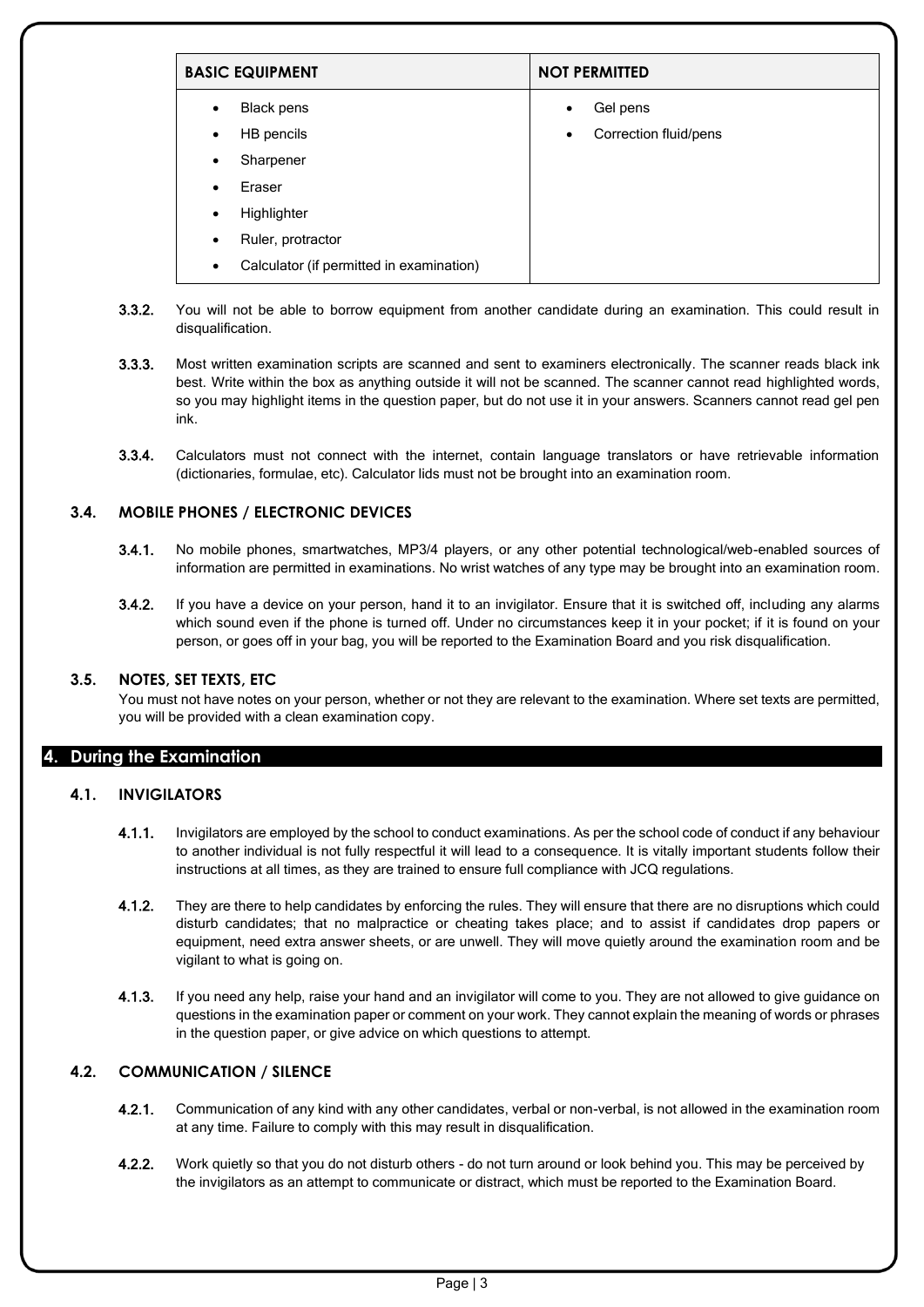| <b>BASIC EQUIPMENT</b>                                | <b>NOT PERMITTED</b>               |
|-------------------------------------------------------|------------------------------------|
| Black pens<br>$\bullet$                               | Gel pens<br>$\bullet$              |
| HB pencils<br>$\bullet$                               | Correction fluid/pens<br>$\bullet$ |
| Sharpener<br>$\bullet$                                |                                    |
| Eraser<br>$\bullet$                                   |                                    |
| Highlighter<br>$\bullet$                              |                                    |
| Ruler, protractor<br>$\bullet$                        |                                    |
| Calculator (if permitted in examination)<br>$\bullet$ |                                    |

- 3.3.2. You will not be able to borrow equipment from another candidate during an examination. This could result in disqualification.
- 3.3.3. Most written examination scripts are scanned and sent to examiners electronically. The scanner reads black ink best. Write within the box as anything outside it will not be scanned. The scanner cannot read highlighted words, so you may highlight items in the question paper, but do not use it in your answers. Scanners cannot read gel pen ink.
- 3.3.4. Calculators must not connect with the internet, contain language translators or have retrievable information (dictionaries, formulae, etc). Calculator lids must not be brought into an examination room.

#### **3.4. MOBILE PHONES / ELECTRONIC DEVICES**

- 3.4.1. No mobile phones, smartwatches, MP3/4 players, or any other potential technological/web-enabled sources of information are permitted in examinations. No wrist watches of any type may be brought into an examination room.
- 3.4.2. If you have a device on your person, hand it to an invigilator. Ensure that it is switched off, including any alarms which sound even if the phone is turned off. Under no circumstances keep it in your pocket; if it is found on your person, or goes off in your bag, you will be reported to the Examination Board and you risk disqualification.

#### **3.5. NOTES, SET TEXTS, ETC**

You must not have notes on your person, whether or not they are relevant to the examination. Where set texts are permitted, you will be provided with a clean examination copy.

#### <span id="page-3-0"></span>**4. During the Examination**

#### **4.1. INVIGILATORS**

- 4.1.1. Invigilators are employed by the school to conduct examinations. As per the school code of conduct if any behaviour to another individual is not fully respectful it will lead to a consequence. It is vitally important students follow their instructions at all times, as they are trained to ensure full compliance with JCQ regulations.
- 4.1.2. They are there to help candidates by enforcing the rules. They will ensure that there are no disruptions which could disturb candidates; that no malpractice or cheating takes place; and to assist if candidates drop papers or equipment, need extra answer sheets, or are unwell. They will move quietly around the examination room and be vigilant to what is going on.
- 4.1.3. If you need any help, raise your hand and an invigilator will come to you. They are not allowed to give guidance on questions in the examination paper or comment on your work. They cannot explain the meaning of words or phrases in the question paper, or give advice on which questions to attempt.

#### **4.2. COMMUNICATION / SILENCE**

- 4.2.1. Communication of any kind with any other candidates, verbal or non-verbal, is not allowed in the examination room at any time. Failure to comply with this may result in disqualification.
- 4.2.2. Work quietly so that you do not disturb others do not turn around or look behind you. This may be perceived by the invigilators as an attempt to communicate or distract, which must be reported to the Examination Board.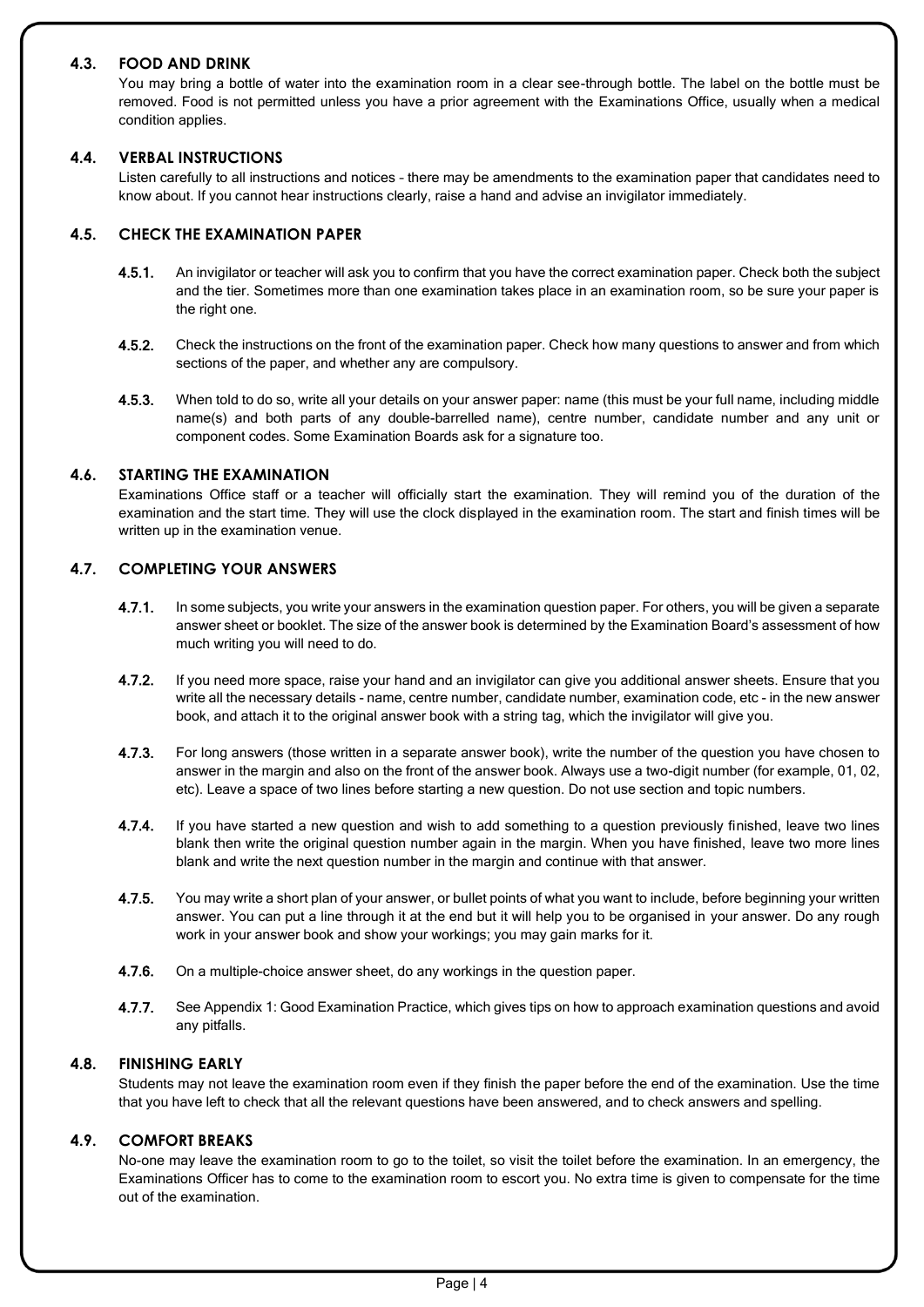#### **4.3. FOOD AND DRINK**

You may bring a bottle of water into the examination room in a clear see-through bottle. The label on the bottle must be removed. Food is not permitted unless you have a prior agreement with the Examinations Office, usually when a medical condition applies.

#### **4.4. VERBAL INSTRUCTIONS**

Listen carefully to all instructions and notices – there may be amendments to the examination paper that candidates need to know about. If you cannot hear instructions clearly, raise a hand and advise an invigilator immediately.

#### **4.5. CHECK THE EXAMINATION PAPER**

- 4.5.1. An invigilator or teacher will ask you to confirm that you have the correct examination paper. Check both the subject and the tier. Sometimes more than one examination takes place in an examination room, so be sure your paper is the right one.
- 4.5.2. Check the instructions on the front of the examination paper. Check how many questions to answer and from which sections of the paper, and whether any are compulsory.
- 4.5.3. When told to do so, write all your details on your answer paper: name (this must be your full name, including middle name(s) and both parts of any double-barrelled name), centre number, candidate number and any unit or component codes. Some Examination Boards ask for a signature too.

#### **4.6. STARTING THE EXAMINATION**

Examinations Office staff or a teacher will officially start the examination. They will remind you of the duration of the examination and the start time. They will use the clock displayed in the examination room. The start and finish times will be written up in the examination venue.

#### **4.7. COMPLETING YOUR ANSWERS**

- 4.7.1. In some subjects, you write your answers in the examination question paper. For others, you will be given a separate answer sheet or booklet. The size of the answer book is determined by the Examination Board's assessment of how much writing you will need to do.
- 4.7.2. If you need more space, raise your hand and an invigilator can give you additional answer sheets. Ensure that you write all the necessary details - name, centre number, candidate number, examination code, etc - in the new answer book, and attach it to the original answer book with a string tag, which the invigilator will give you.
- 4.7.3. For long answers (those written in a separate answer book), write the number of the question you have chosen to answer in the margin and also on the front of the answer book. Always use a two-digit number (for example, 01, 02, etc). Leave a space of two lines before starting a new question. Do not use section and topic numbers.
- 4.7.4. If you have started a new question and wish to add something to a question previously finished, leave two lines blank then write the original question number again in the margin. When you have finished, leave two more lines blank and write the next question number in the margin and continue with that answer.
- 4.7.5. You may write a short plan of your answer, or bullet points of what you want to include, before beginning your written answer. You can put a line through it at the end but it will help you to be organised in your answer. Do any rough work in your answer book and show your workings; you may gain marks for it.
- **4.7.6.** On a multiple-choice answer sheet, do any workings in the question paper.
- 4.7.7. See Appendix 1: Good Examination Practice, which gives tips on how to approach examination questions and avoid any pitfalls.

#### **4.8. FINISHING EARLY**

Students may not leave the examination room even if they finish the paper before the end of the examination. Use the time that you have left to check that all the relevant questions have been answered, and to check answers and spelling.

#### **4.9. COMFORT BREAKS**

No-one may leave the examination room to go to the toilet, so visit the toilet before the examination. In an emergency, the Examinations Officer has to come to the examination room to escort you. No extra time is given to compensate for the time out of the examination.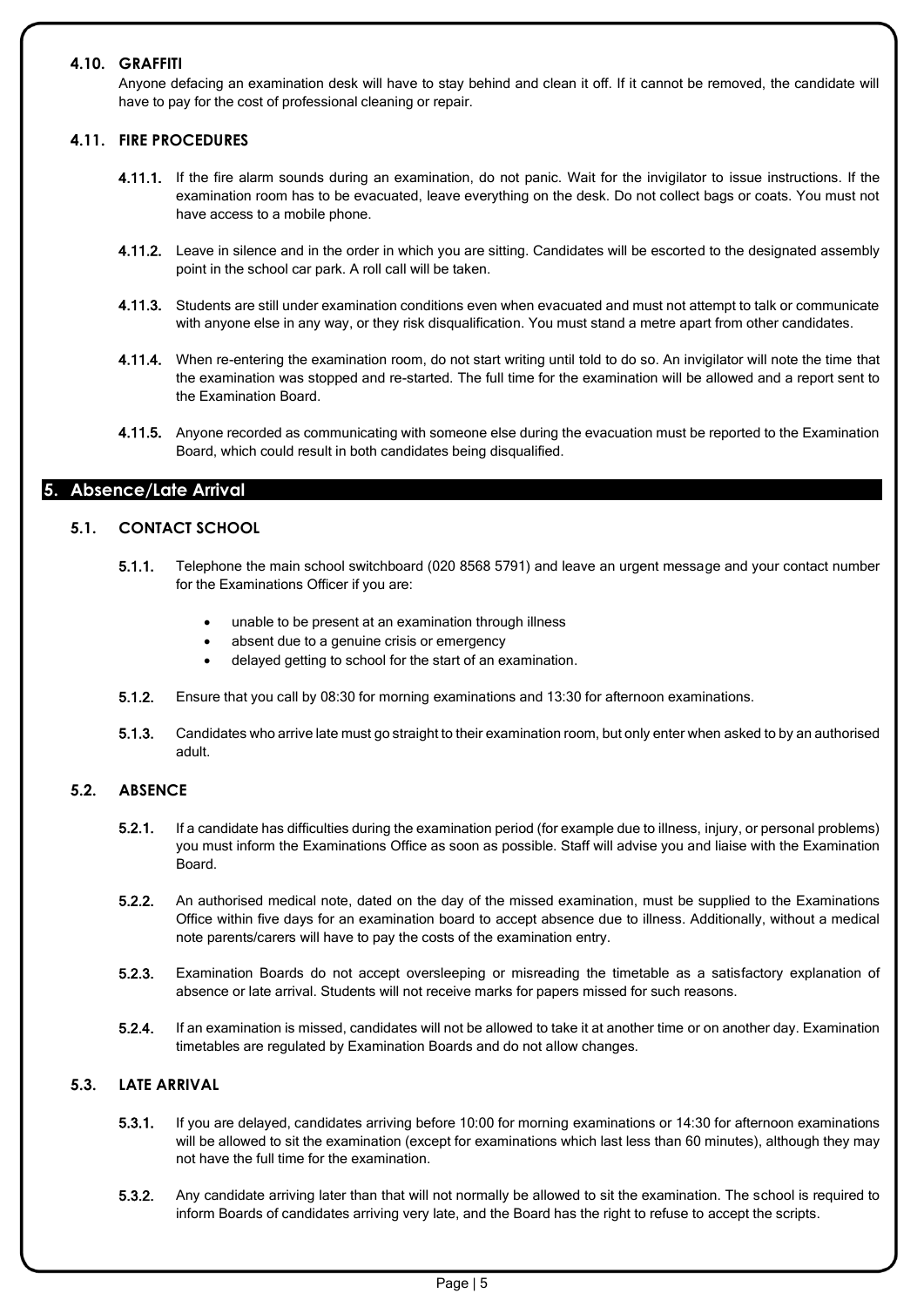#### **4.10. GRAFFITI**

Anyone defacing an examination desk will have to stay behind and clean it off. If it cannot be removed, the candidate will have to pay for the cost of professional cleaning or repair.

#### **4.11. FIRE PROCEDURES**

- 4.11.1. If the fire alarm sounds during an examination, do not panic. Wait for the invigilator to issue instructions. If the examination room has to be evacuated, leave everything on the desk. Do not collect bags or coats. You must not have access to a mobile phone.
- 4.11.2. Leave in silence and in the order in which you are sitting. Candidates will be escorted to the designated assembly point in the school car park. A roll call will be taken.
- 4.11.3. Students are still under examination conditions even when evacuated and must not attempt to talk or communicate with anyone else in any way, or they risk disqualification. You must stand a metre apart from other candidates.
- 4.11.4. When re-entering the examination room, do not start writing until told to do so. An invigilator will note the time that the examination was stopped and re-started. The full time for the examination will be allowed and a report sent to the Examination Board.
- 4.11.5. Anyone recorded as communicating with someone else during the evacuation must be reported to the Examination Board, which could result in both candidates being disqualified.

#### <span id="page-5-0"></span>**5. Absence/Late Arrival**

#### **5.1. CONTACT SCHOOL**

- 5.1.1. Telephone the main school switchboard (020 8568 5791) and leave an urgent message and your contact number for the Examinations Officer if you are:
	- unable to be present at an examination through illness
	- absent due to a genuine crisis or emergency
	- delayed getting to school for the start of an examination.
- 5.1.2. Ensure that you call by 08:30 for morning examinations and 13:30 for afternoon examinations.
- 5.1.3. Candidates who arrive late must go straight to their examination room, but only enter when asked to by an authorised adult.

#### **5.2. ABSENCE**

- 5.2.1. If a candidate has difficulties during the examination period (for example due to illness, injury, or personal problems) you must inform the Examinations Office as soon as possible. Staff will advise you and liaise with the Examination Board.
- 5.2.2. An authorised medical note, dated on the day of the missed examination, must be supplied to the Examinations Office within five days for an examination board to accept absence due to illness. Additionally, without a medical note parents/carers will have to pay the costs of the examination entry.
- 5.2.3. Examination Boards do not accept oversleeping or misreading the timetable as a satisfactory explanation of absence or late arrival. Students will not receive marks for papers missed for such reasons.
- 5.2.4. If an examination is missed, candidates will not be allowed to take it at another time or on another day. Examination timetables are regulated by Examination Boards and do not allow changes.

#### **5.3. LATE ARRIVAL**

- 5.3.1. If you are delayed, candidates arriving before 10:00 for morning examinations or 14:30 for afternoon examinations will be allowed to sit the examination (except for examinations which last less than 60 minutes), although they may not have the full time for the examination.
- 5.3.2. Any candidate arriving later than that will not normally be allowed to sit the examination. The school is required to inform Boards of candidates arriving very late, and the Board has the right to refuse to accept the scripts.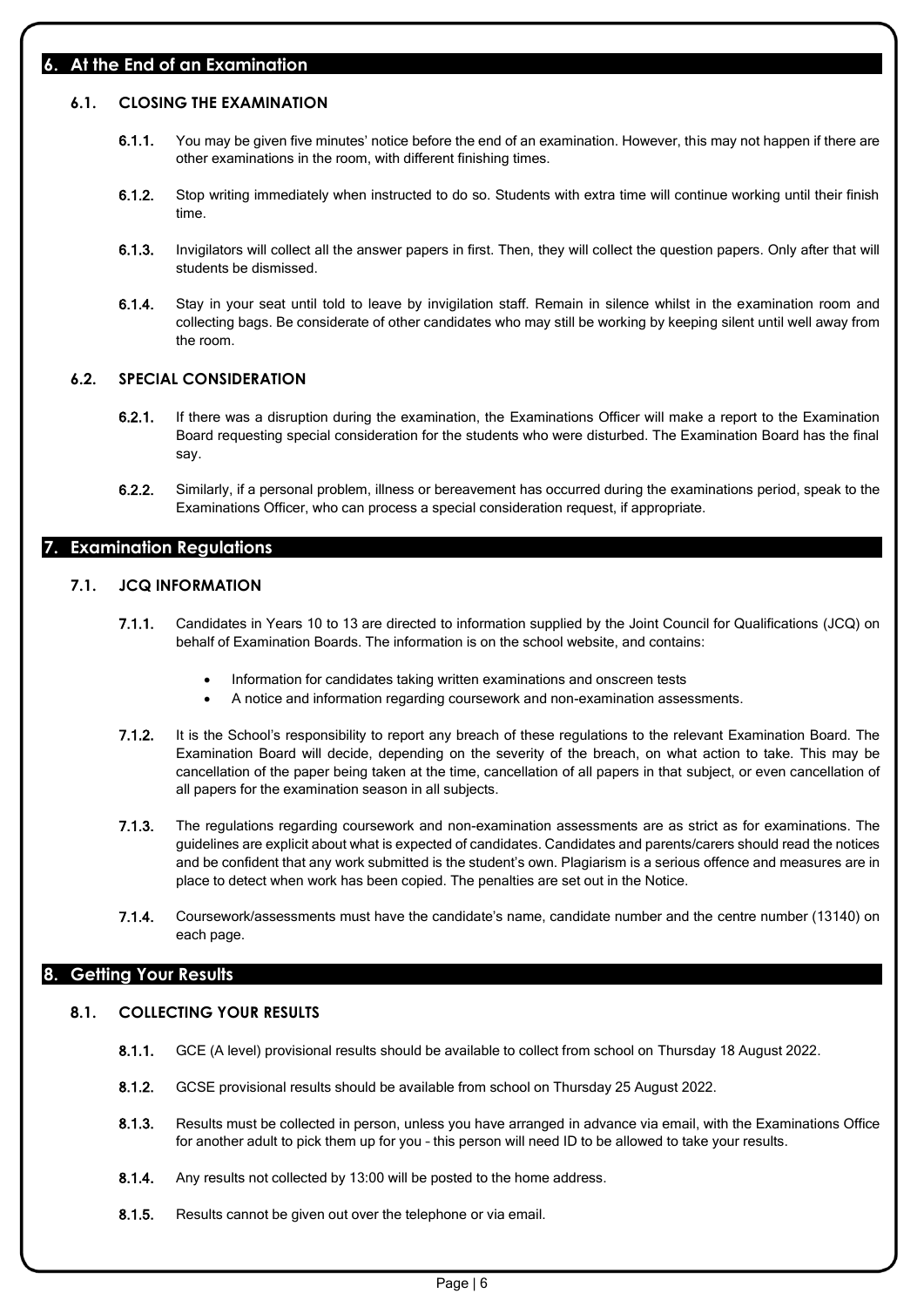#### <span id="page-6-0"></span>**6. At the End of an Examination**

#### **6.1. CLOSING THE EXAMINATION**

- 6.1.1. You may be given five minutes' notice before the end of an examination. However, this may not happen if there are other examinations in the room, with different finishing times.
- 6.1.2. Stop writing immediately when instructed to do so. Students with extra time will continue working until their finish time.
- 6.1.3. Invigilators will collect all the answer papers in first. Then, they will collect the question papers. Only after that will students be dismissed.
- 6.1.4. Stay in your seat until told to leave by invigilation staff. Remain in silence whilst in the examination room and collecting bags. Be considerate of other candidates who may still be working by keeping silent until well away from the room.

#### **6.2. SPECIAL CONSIDERATION**

- 6.2.1. If there was a disruption during the examination, the Examinations Officer will make a report to the Examination Board requesting special consideration for the students who were disturbed. The Examination Board has the final say.
- 6.2.2. Similarly, if a personal problem, illness or bereavement has occurred during the examinations period, speak to the Examinations Officer, who can process a special consideration request, if appropriate.

### <span id="page-6-1"></span>**7. Examination Regulations**

#### **7.1. JCQ INFORMATION**

- 7.1.1. Candidates in Years 10 to 13 are directed to information supplied by the Joint Council for Qualifications (JCQ) on behalf of Examination Boards. The information is on the school website, and contains:
	- Information for candidates taking written examinations and onscreen tests
	- A notice and information regarding coursework and non-examination assessments.
- 7.1.2. It is the School's responsibility to report any breach of these regulations to the relevant Examination Board. The Examination Board will decide, depending on the severity of the breach, on what action to take. This may be cancellation of the paper being taken at the time, cancellation of all papers in that subject, or even cancellation of all papers for the examination season in all subjects.
- 7.1.3. The regulations regarding coursework and non-examination assessments are as strict as for examinations. The guidelines are explicit about what is expected of candidates. Candidates and parents/carers should read the notices and be confident that any work submitted is the student's own. Plagiarism is a serious offence and measures are in place to detect when work has been copied. The penalties are set out in the Notice.
- 7.1.4. Coursework/assessments must have the candidate's name, candidate number and the centre number (13140) on each page.

#### <span id="page-6-2"></span>**8. Getting Your Results**

#### **8.1. COLLECTING YOUR RESULTS**

- 8.1.1. GCE (A level) provisional results should be available to collect from school on Thursday 18 August 2022.
- 8.1.2. GCSE provisional results should be available from school on Thursday 25 August 2022.
- 8.1.3. Results must be collected in person, unless you have arranged in advance via email, with the Examinations Office for another adult to pick them up for you – this person will need ID to be allowed to take your results.
- 8.1.4. Any results not collected by 13:00 will be posted to the home address.
- 8.1.5. Results cannot be given out over the telephone or via email.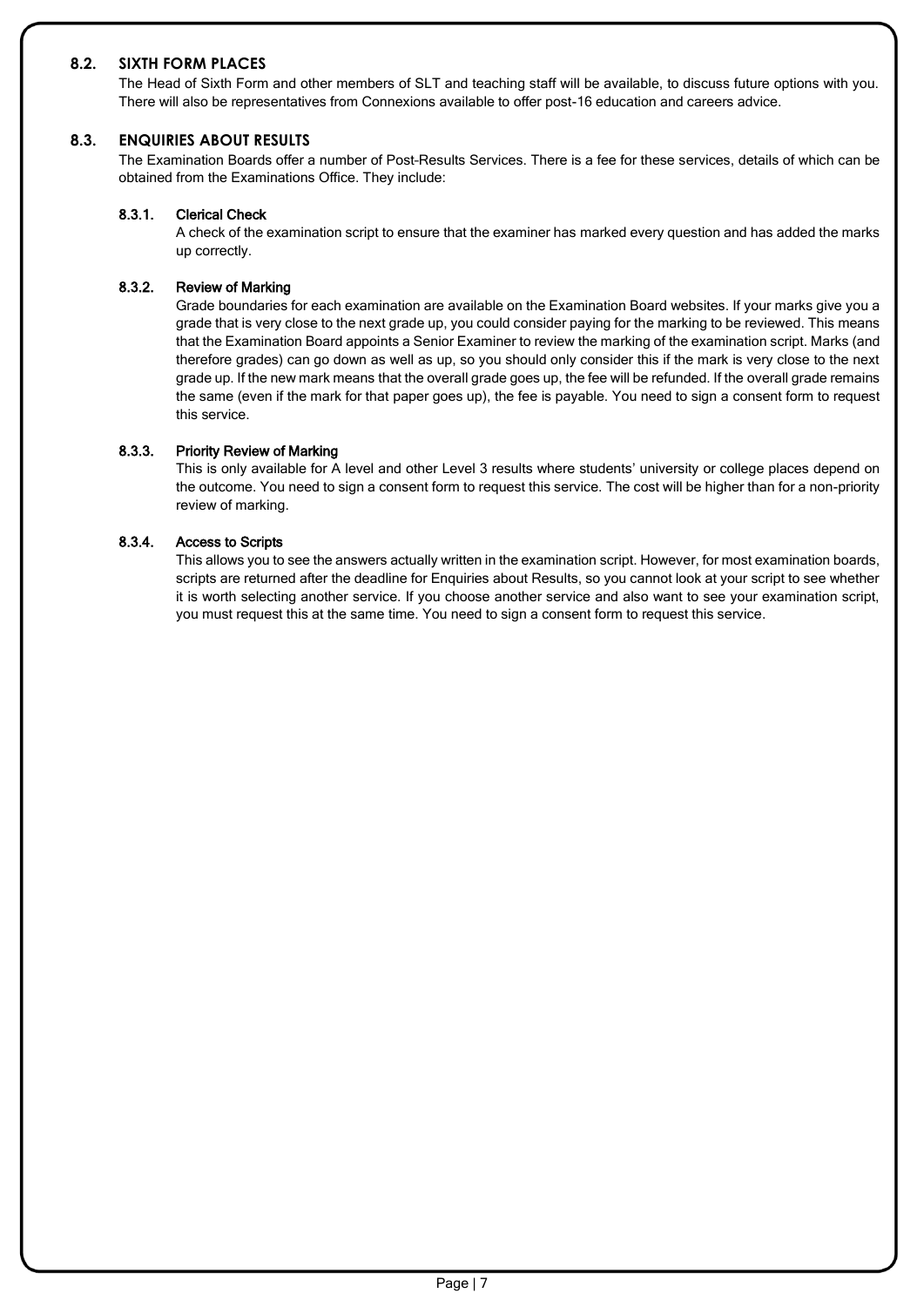#### **8.2. SIXTH FORM PLACES**

The Head of Sixth Form and other members of SLT and teaching staff will be available, to discuss future options with you. There will also be representatives from Connexions available to offer post-16 education and careers advice.

#### **8.3. ENQUIRIES ABOUT RESULTS**

The Examination Boards offer a number of Post–Results Services. There is a fee for these services, details of which can be obtained from the Examinations Office. They include:

#### 8.3.1. Clerical Check

A check of the examination script to ensure that the examiner has marked every question and has added the marks up correctly.

#### 8.3.2. Review of Marking

Grade boundaries for each examination are available on the Examination Board websites. If your marks give you a grade that is very close to the next grade up, you could consider paying for the marking to be reviewed. This means that the Examination Board appoints a Senior Examiner to review the marking of the examination script. Marks (and therefore grades) can go down as well as up, so you should only consider this if the mark is very close to the next grade up. If the new mark means that the overall grade goes up, the fee will be refunded. If the overall grade remains the same (even if the mark for that paper goes up), the fee is payable. You need to sign a consent form to request this service.

#### 8.3.3. Priority Review of Marking

This is only available for A level and other Level 3 results where students' university or college places depend on the outcome. You need to sign a consent form to request this service. The cost will be higher than for a non-priority review of marking.

#### 8.3.4. Access to Scripts

This allows you to see the answers actually written in the examination script. However, for most examination boards, scripts are returned after the deadline for Enquiries about Results, so you cannot look at your script to see whether it is worth selecting another service. If you choose another service and also want to see your examination script, you must request this at the same time. You need to sign a consent form to request this service.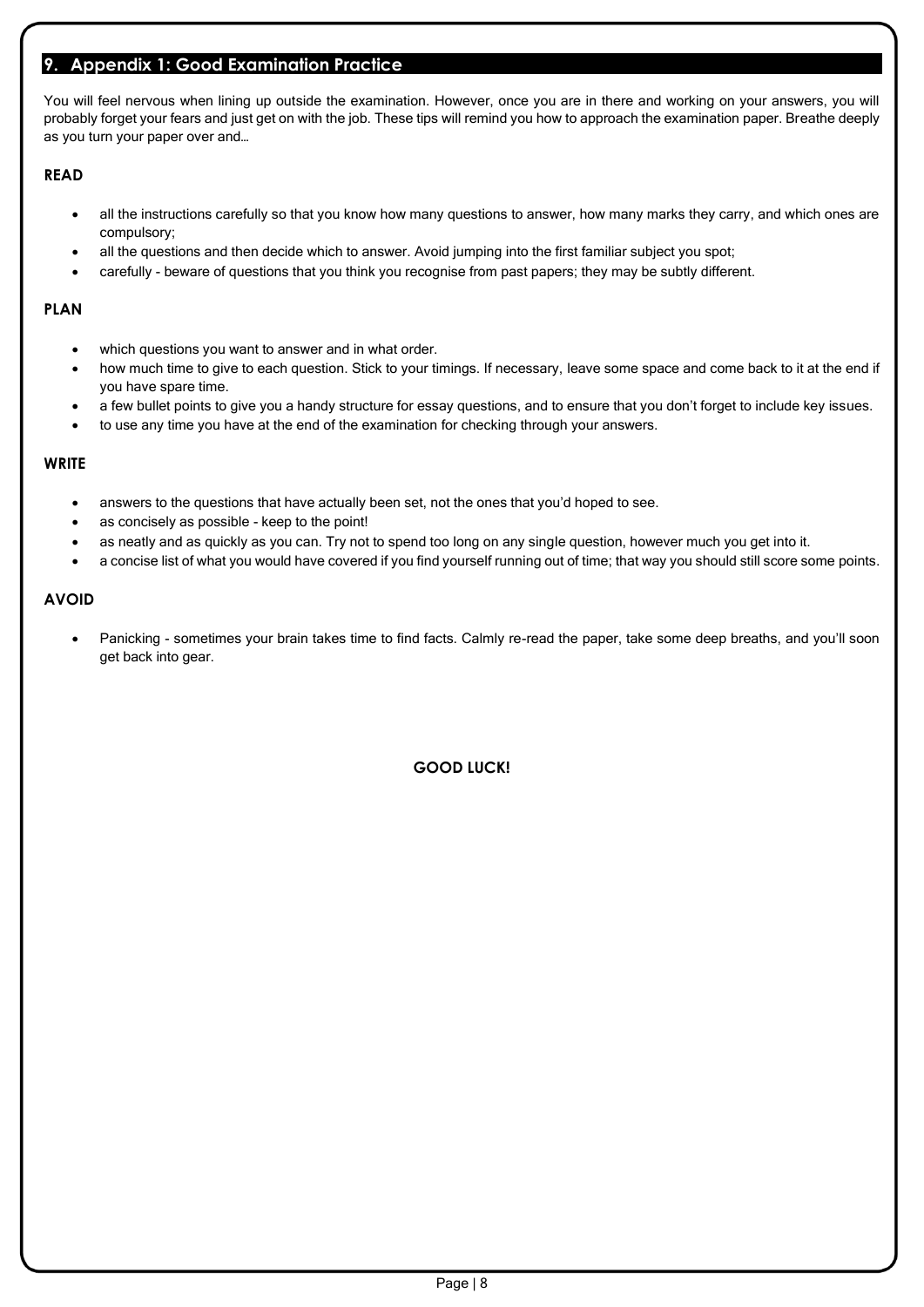#### <span id="page-8-0"></span>**9. Appendix 1: Good Examination Practice**

You will feel nervous when lining up outside the examination. However, once you are in there and working on your answers, you will probably forget your fears and just get on with the job. These tips will remind you how to approach the examination paper. Breathe deeply as you turn your paper over and…

#### **READ**

- all the instructions carefully so that you know how many questions to answer, how many marks they carry, and which ones are compulsory;
- all the questions and then decide which to answer. Avoid jumping into the first familiar subject you spot;
- carefully beware of questions that you think you recognise from past papers; they may be subtly different.

#### **PLAN**

- which questions you want to answer and in what order.
- how much time to give to each question. Stick to your timings. If necessary, leave some space and come back to it at the end if you have spare time.
- a few bullet points to give you a handy structure for essay questions, and to ensure that you don't forget to include key issues.
- to use any time you have at the end of the examination for checking through your answers.

#### **WRITE**

- answers to the questions that have actually been set, not the ones that you'd hoped to see.
- as concisely as possible keep to the point!
- as neatly and as quickly as you can. Try not to spend too long on any single question, however much you get into it.
- a concise list of what you would have covered if you find yourself running out of time; that way you should still score some points.

#### **AVOID**

• Panicking - sometimes your brain takes time to find facts. Calmly re-read the paper, take some deep breaths, and you'll soon get back into gear.

**GOOD LUCK!**